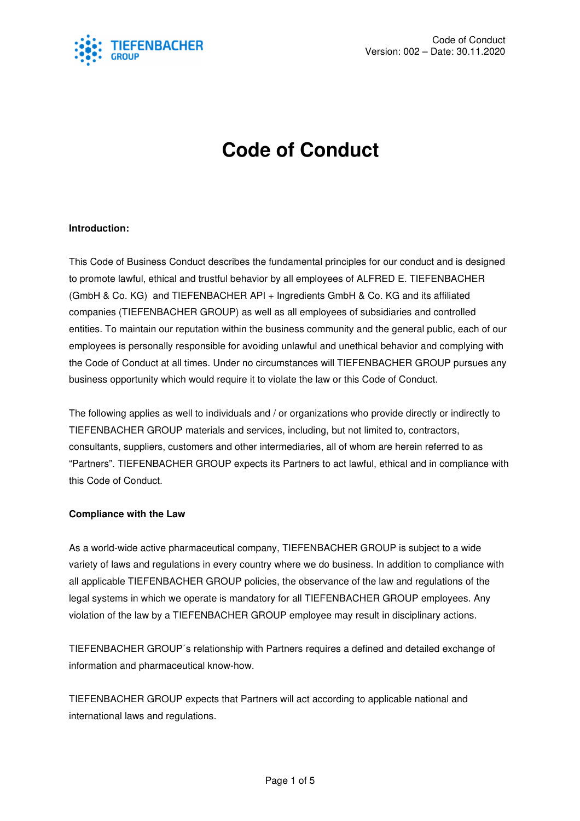

# **Code of Conduct**

# **Introduction:**

This Code of Business Conduct describes the fundamental principles for our conduct and is designed to promote lawful, ethical and trustful behavior by all employees of ALFRED E. TIEFENBACHER (GmbH & Co. KG) and TIEFENBACHER API + Ingredients GmbH & Co. KG and its affiliated companies (TIEFENBACHER GROUP) as well as all employees of subsidiaries and controlled entities. To maintain our reputation within the business community and the general public, each of our employees is personally responsible for avoiding unlawful and unethical behavior and complying with the Code of Conduct at all times. Under no circumstances will TIEFENBACHER GROUP pursues any business opportunity which would require it to violate the law or this Code of Conduct.

The following applies as well to individuals and / or organizations who provide directly or indirectly to TIEFENBACHER GROUP materials and services, including, but not limited to, contractors, consultants, suppliers, customers and other intermediaries, all of whom are herein referred to as "Partners". TIEFENBACHER GROUP expects its Partners to act lawful, ethical and in compliance with this Code of Conduct.

## **Compliance with the Law**

As a world-wide active pharmaceutical company, TIEFENBACHER GROUP is subject to a wide variety of laws and regulations in every country where we do business. In addition to compliance with all applicable TIEFENBACHER GROUP policies, the observance of the law and regulations of the legal systems in which we operate is mandatory for all TIEFENBACHER GROUP employees. Any violation of the law by a TIEFENBACHER GROUP employee may result in disciplinary actions.

TIEFENBACHER GROUP´s relationship with Partners requires a defined and detailed exchange of information and pharmaceutical know-how.

TIEFENBACHER GROUP expects that Partners will act according to applicable national and international laws and regulations.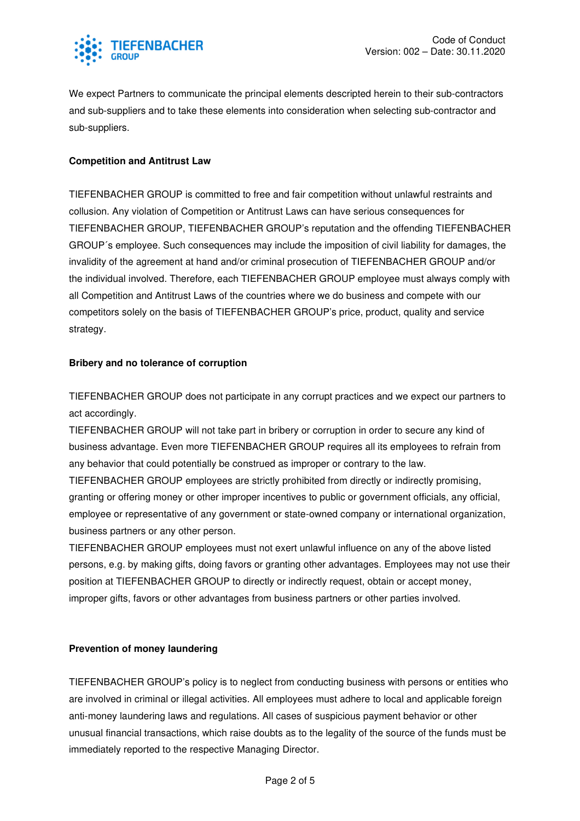

We expect Partners to communicate the principal elements descripted herein to their sub-contractors and sub-suppliers and to take these elements into consideration when selecting sub-contractor and sub-suppliers.

# **Competition and Antitrust Law**

TIEFENBACHER GROUP is committed to free and fair competition without unlawful restraints and collusion. Any violation of Competition or Antitrust Laws can have serious consequences for TIEFENBACHER GROUP, TIEFENBACHER GROUP's reputation and the offending TIEFENBACHER GROUP´s employee. Such consequences may include the imposition of civil liability for damages, the invalidity of the agreement at hand and/or criminal prosecution of TIEFENBACHER GROUP and/or the individual involved. Therefore, each TIEFENBACHER GROUP employee must always comply with all Competition and Antitrust Laws of the countries where we do business and compete with our competitors solely on the basis of TIEFENBACHER GROUP's price, product, quality and service strategy.

## **Bribery and no tolerance of corruption**

TIEFENBACHER GROUP does not participate in any corrupt practices and we expect our partners to act accordingly.

TIEFENBACHER GROUP will not take part in bribery or corruption in order to secure any kind of business advantage. Even more TIEFENBACHER GROUP requires all its employees to refrain from any behavior that could potentially be construed as improper or contrary to the law.

TIEFENBACHER GROUP employees are strictly prohibited from directly or indirectly promising, granting or offering money or other improper incentives to public or government officials, any official, employee or representative of any government or state-owned company or international organization, business partners or any other person.

TIEFENBACHER GROUP employees must not exert unlawful influence on any of the above listed persons, e.g. by making gifts, doing favors or granting other advantages. Employees may not use their position at TIEFENBACHER GROUP to directly or indirectly request, obtain or accept money, improper gifts, favors or other advantages from business partners or other parties involved.

## **Prevention of money laundering**

TIEFENBACHER GROUP's policy is to neglect from conducting business with persons or entities who are involved in criminal or illegal activities. All employees must adhere to local and applicable foreign anti-money laundering laws and regulations. All cases of suspicious payment behavior or other unusual financial transactions, which raise doubts as to the legality of the source of the funds must be immediately reported to the respective Managing Director.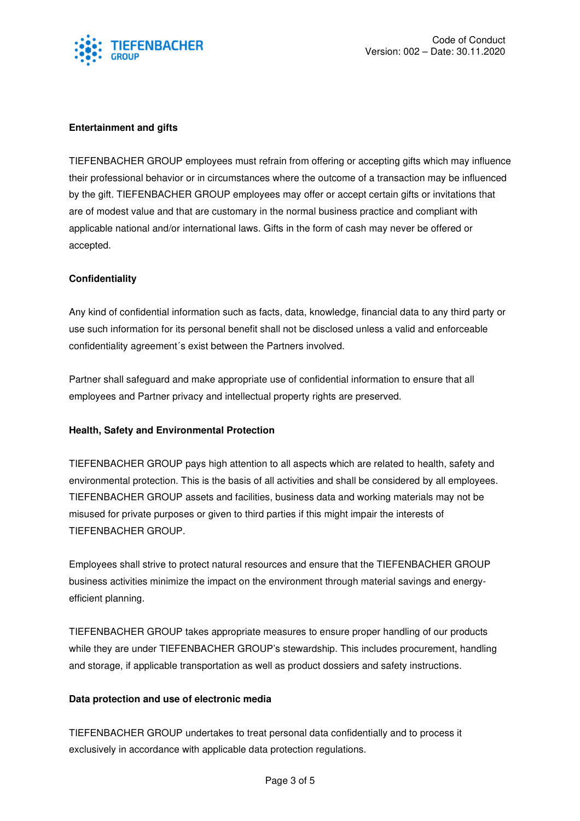

# **Entertainment and gifts**

TIEFENBACHER GROUP employees must refrain from offering or accepting gifts which may influence their professional behavior or in circumstances where the outcome of a transaction may be influenced by the gift. TIEFENBACHER GROUP employees may offer or accept certain gifts or invitations that are of modest value and that are customary in the normal business practice and compliant with applicable national and/or international laws. Gifts in the form of cash may never be offered or accepted.

# **Confidentiality**

Any kind of confidential information such as facts, data, knowledge, financial data to any third party or use such information for its personal benefit shall not be disclosed unless a valid and enforceable confidentiality agreement´s exist between the Partners involved.

Partner shall safeguard and make appropriate use of confidential information to ensure that all employees and Partner privacy and intellectual property rights are preserved.

## **Health, Safety and Environmental Protection**

TIEFENBACHER GROUP pays high attention to all aspects which are related to health, safety and environmental protection. This is the basis of all activities and shall be considered by all employees. TIEFENBACHER GROUP assets and facilities, business data and working materials may not be misused for private purposes or given to third parties if this might impair the interests of TIEFENBACHER GROUP.

Employees shall strive to protect natural resources and ensure that the TIEFENBACHER GROUP business activities minimize the impact on the environment through material savings and energyefficient planning.

TIEFENBACHER GROUP takes appropriate measures to ensure proper handling of our products while they are under TIEFENBACHER GROUP's stewardship. This includes procurement, handling and storage, if applicable transportation as well as product dossiers and safety instructions.

## **Data protection and use of electronic media**

TIEFENBACHER GROUP undertakes to treat personal data confidentially and to process it exclusively in accordance with applicable data protection regulations.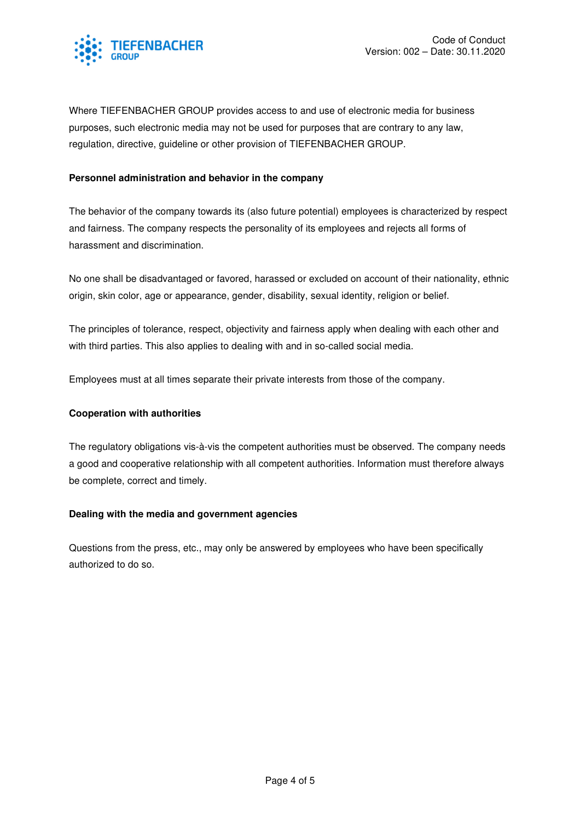

Where TIEFENBACHER GROUP provides access to and use of electronic media for business purposes, such electronic media may not be used for purposes that are contrary to any law, regulation, directive, guideline or other provision of TIEFENBACHER GROUP.

#### **Personnel administration and behavior in the company**

The behavior of the company towards its (also future potential) employees is characterized by respect and fairness. The company respects the personality of its employees and rejects all forms of harassment and discrimination.

No one shall be disadvantaged or favored, harassed or excluded on account of their nationality, ethnic origin, skin color, age or appearance, gender, disability, sexual identity, religion or belief.

The principles of tolerance, respect, objectivity and fairness apply when dealing with each other and with third parties. This also applies to dealing with and in so-called social media.

Employees must at all times separate their private interests from those of the company.

#### **Cooperation with authorities**

The regulatory obligations vis-à-vis the competent authorities must be observed. The company needs a good and cooperative relationship with all competent authorities. Information must therefore always be complete, correct and timely.

#### **Dealing with the media and government agencies**

Questions from the press, etc., may only be answered by employees who have been specifically authorized to do so.